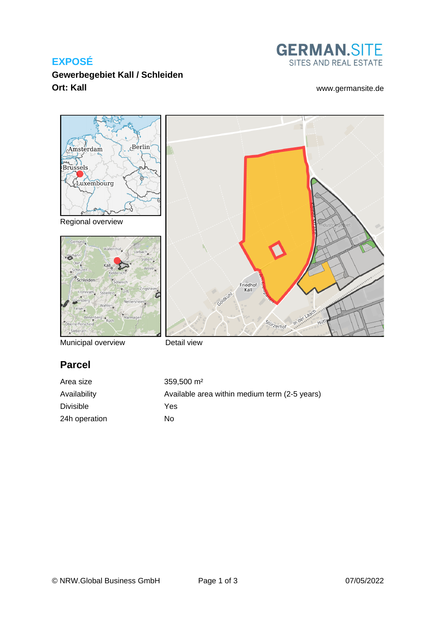## **EXPOSÉ**



**Gewerbegebiet Kall / Schleiden Ort: Kall** [www.germansite.de](http://www.germansite.de)





Municipal overview



# **Parcel**

| Area size        | $359.500 \text{ m}^2$                         |
|------------------|-----------------------------------------------|
| Availability     | Available area within medium term (2-5 years) |
| <b>Divisible</b> | Yes                                           |
| 24h operation    | No                                            |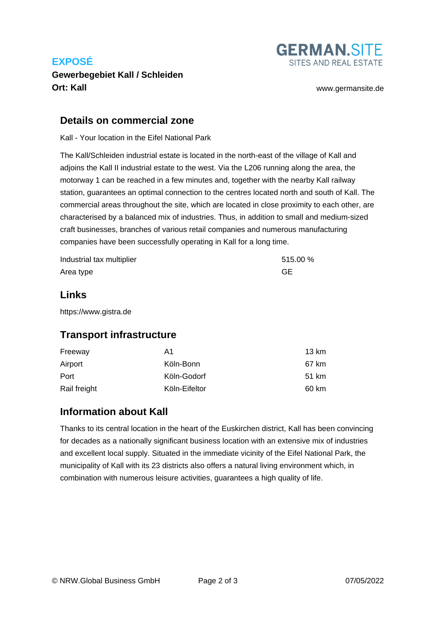## **EXPOSÉ**

## **Gewerbegebiet Kall / Schleiden Ort: Kall** [www.germansite.de](http://www.germansite.de)

**GERMAN.SITE** SITES AND REAL ESTATE

#### **Details on commercial zone**

Kall - Your location in the Eifel National Park

The Kall/Schleiden industrial estate is located in the north-east of the village of Kall and adjoins the Kall II industrial estate to the west. Via the L206 running along the area, the motorway 1 can be reached in a few minutes and, together with the nearby Kall railway station, guarantees an optimal connection to the centres located north and south of Kall. The commercial areas throughout the site, which are located in close proximity to each other, are characterised by a balanced mix of industries. Thus, in addition to small and medium-sized craft businesses, branches of various retail companies and numerous manufacturing companies have been successfully operating in Kall for a long time.

| Industrial tax multiplier | 515.00 % |
|---------------------------|----------|
| Area type                 | GЕ       |

#### **Links**

<https://www.gistra.de>

### **Transport infrastructure**

| Freeway      | A1            | 13 km |
|--------------|---------------|-------|
| Airport      | Köln-Bonn     | 67 km |
| Port         | Köln-Godorf   | 51 km |
| Rail freight | Köln-Eifeltor | 60 km |

### **Information about Kall**

Thanks to its central location in the heart of the Euskirchen district, Kall has been convincing for decades as a nationally significant business location with an extensive mix of industries and excellent local supply. Situated in the immediate vicinity of the Eifel National Park, the municipality of Kall with its 23 districts also offers a natural living environment which, in combination with numerous leisure activities, guarantees a high quality of life.